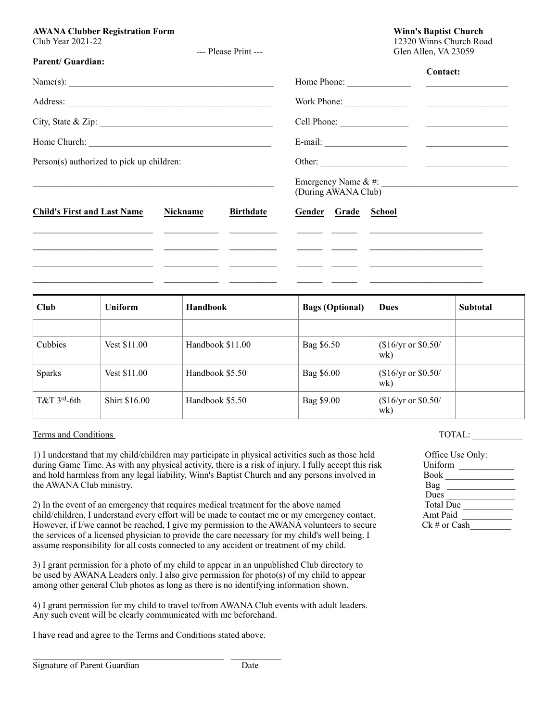## AWANA Clubber Registration Form **Winn's Baptist Church**  Winn's Baptist Church **Winn**'s Baptist Church **Winn**'s Baptist Church *N* Club Year 2021-22 12320 Winns Church Road

--- Please Print ---<br>Glen Allen, VA 23059

| <b>Parent/Guardian:</b>                                                                                                                                                                                                              |                                                                                                                     |                  |                     |                                   |
|--------------------------------------------------------------------------------------------------------------------------------------------------------------------------------------------------------------------------------------|---------------------------------------------------------------------------------------------------------------------|------------------|---------------------|-----------------------------------|
| Name(s): $\qquad \qquad$<br>City, State & Zip: $\frac{1}{2}$                                                                                                                                                                         |                                                                                                                     |                  |                     | Contact:                          |
|                                                                                                                                                                                                                                      |                                                                                                                     |                  |                     |                                   |
|                                                                                                                                                                                                                                      |                                                                                                                     |                  |                     |                                   |
|                                                                                                                                                                                                                                      |                                                                                                                     |                  |                     |                                   |
| Person(s) authorized to pick up children:                                                                                                                                                                                            |                                                                                                                     |                  |                     |                                   |
|                                                                                                                                                                                                                                      |                                                                                                                     |                  | (During AWANA Club) | Emergency Name & #: $\frac{1}{2}$ |
| <b>Child's First and Last Name</b>                                                                                                                                                                                                   | Nickname                                                                                                            | <b>Birthdate</b> | Gender Grade School |                                   |
| <u> 1989 - Johann Harry Harry Harry Harry Harry Harry Harry Harry Harry Harry Harry Harry Harry Harry Harry Harry Harry Harry Harry Harry Harry Harry Harry Harry Harry Harry Harry Harry Harry Harry Harry Harry Harry Harry Ha</u> |                                                                                                                     |                  |                     |                                   |
| the contract of the contract of the contract of the contract of the contract of the contract of the contract of                                                                                                                      |                                                                                                                     |                  |                     |                                   |
|                                                                                                                                                                                                                                      | <u> 1989 - Andrea San Andrea San Andrea San Andrea San Andrea San Andrea San Andrea San Andrea San Andrea San A</u> |                  |                     |                                   |
|                                                                                                                                                                                                                                      |                                                                                                                     |                  |                     |                                   |

| Club          | <b>Uniform</b>       | <b>Handbook</b>  | <b>Bags (Optional)</b> | <b>Dues</b>                | <b>Subtotal</b> |
|---------------|----------------------|------------------|------------------------|----------------------------|-----------------|
|               |                      |                  |                        |                            |                 |
| Cubbies       | Vest \$11.00         | Handbook \$11.00 | Bag \$6.50             | $$16/yr$ or \$0.50/<br>wk) |                 |
| <b>Sparks</b> | Vest \$11.00         | Handbook \$5.50  | Bag \$6.00             | $$16/yr$ or \$0.50/<br>wk) |                 |
| $T&T$ 3rd-6th | <b>Shirt \$16.00</b> | Handbook \$5.50  | Bag \$9.00             | $$16/yr$ or \$0.50/<br>wk) |                 |

## Total: <u>Terms and Conditions</u> Total is a set of the set of the set of the set of the set of the set of the set of the set of the set of the set of the set of the set of the set of the set of the set of the set of the set o

2) In the event of an emergency that requires medical treatment for the above named child/children, I understand every effort will be made to contact me or my emergency contact. However, if I/we cannot be reached, I give my permission to the AWANA volunteers to secure the services of a licensed physician to provide the care necessary for my child's well being. I assume responsibility for all costs connected to any accident or treatment of my child.

3) I grant permission for a photo of my child to appear in an unpublished Club directory to be used by AWANA Leaders only. I also give permission for photo(s) of my child to appear among other general Club photos as long as there is no identifying information shown.

4) I grant permission for my child to travel to/from AWANA Club events with adult leaders. Any such event will be clearly communicated with me beforehand.

I have read and agree to the Terms and Conditions stated above.

 $\mathcal{L}_\text{max}$  , and the set of the set of the set of the set of the set of the set of the set of the set of the set of the set of the set of the set of the set of the set of the set of the set of the set of the set of the

| 1) I understand that my child/children may participate in physical activities such as those held     | Office Use Only: |
|------------------------------------------------------------------------------------------------------|------------------|
| during Game Time. As with any physical activity, there is a risk of injury. I fully accept this risk | Uniform          |
| and hold harmless from any legal liability, Winn's Baptist Church and any persons involved in        | <b>Book</b>      |
| the AWANA Club ministry.                                                                             | Bag              |
|                                                                                                      | <b>Dues</b>      |
| 2) In the event of an emergency that requires medical treatment for the above named                  | <b>Total Due</b> |
| child/children, I understand every effort will be made to contact me or my emergency contact.        | Amt Paid         |
| However, if I/we cannot be reached, I give my permission to the AWANA volunteers to secure           | $Ck \#$ or Cash  |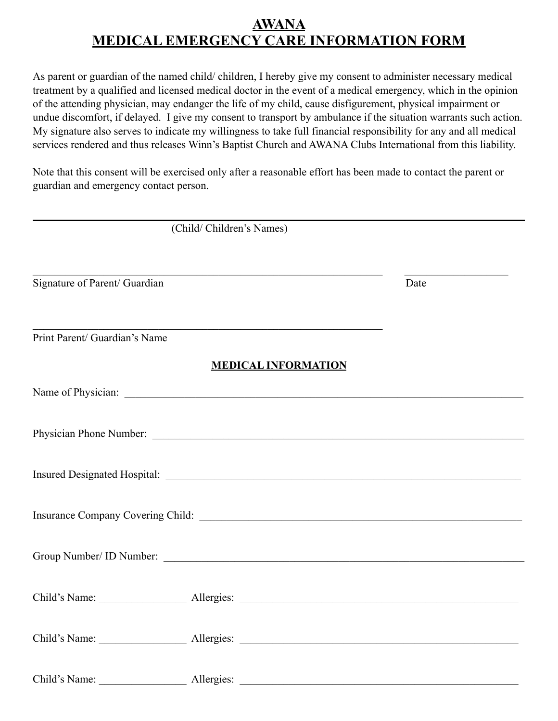## **AWANA MEDICAL EMERGENCY CARE INFORMATION FORM**

As parent or guardian of the named child/ children, I hereby give my consent to administer necessary medical treatment by a qualified and licensed medical doctor in the event of a medical emergency, which in the opinion of the attending physician, may endanger the life of my child, cause disfigurement, physical impairment or undue discomfort, if delayed. I give my consent to transport by ambulance if the situation warrants such action. My signature also serves to indicate my willingness to take full financial responsibility for any and all medical services rendered and thus releases Winn's Baptist Church and AWANA Clubs International from this liability.

Note that this consent will be exercised only after a reasonable effort has been made to contact the parent or guardian and emergency contact person.

|                               | (Child/Children's Names)                                      |      |
|-------------------------------|---------------------------------------------------------------|------|
| Signature of Parent/ Guardian |                                                               | Date |
| Print Parent/ Guardian's Name | <u> 1989 - Johann Barbara, markazar margolaria (h. 1989).</u> |      |
|                               | <b>MEDICAL INFORMATION</b>                                    |      |
|                               |                                                               |      |
|                               |                                                               |      |
|                               |                                                               |      |
|                               |                                                               |      |
|                               |                                                               |      |
|                               |                                                               |      |
|                               |                                                               |      |
| Child's Name:                 |                                                               |      |